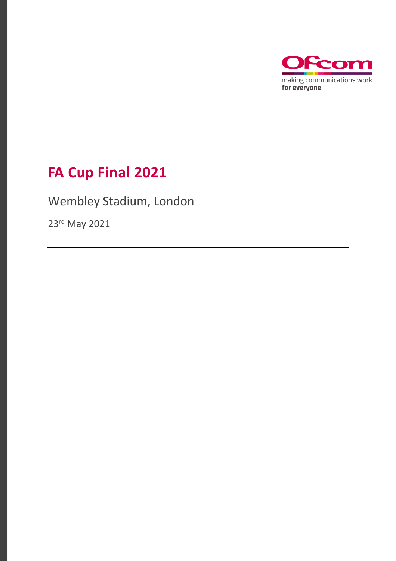

# **FA Cup Final 2021**

Wembley Stadium, London

23rd May 2021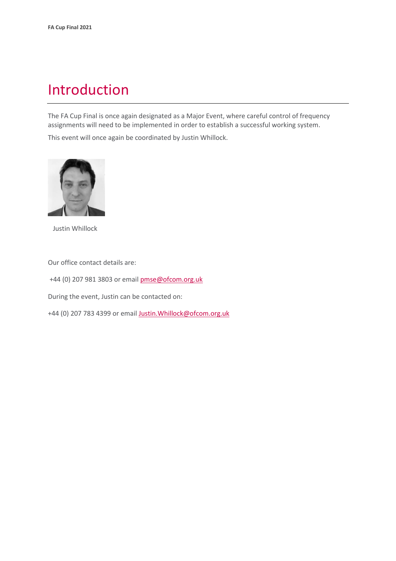## Introduction

The FA Cup Final is once again designated as a Major Event, where careful control of frequency assignments will need to be implemented in order to establish a successful working system.

This event will once again be coordinated by Justin Whillock.



Justin Whillock

Our office contact details are:

+44 (0) 207 981 3803 or emai[l pmse@ofcom.org.uk](mailto:pmse@ofcom.org.uk)

During the event, Justin can be contacted on:

+44 (0) 207 783 4399 or email [Justin.Whillock@ofcom.org.uk](mailto:Justin.Whillock@ofcom.org.uk)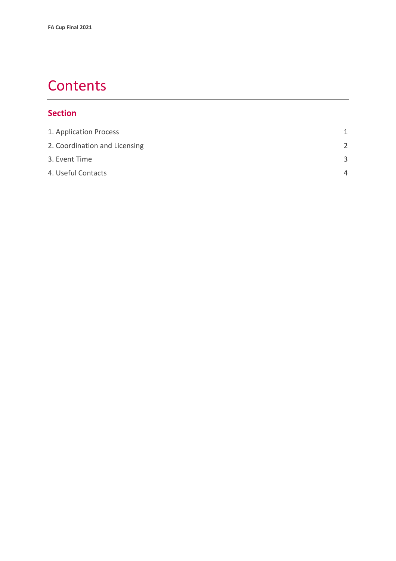## **Contents**

#### **Section**

| 1. Application Process        | 1             |
|-------------------------------|---------------|
| 2. Coordination and Licensing | $\mathcal{P}$ |
| 3. Event Time                 | $\mathbf{R}$  |
| 4. Useful Contacts            | Δ             |
|                               |               |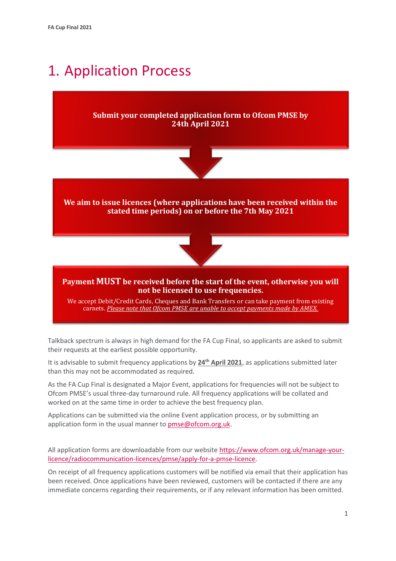## <span id="page-3-0"></span>1. Application Process

#### **Submit your completed application form to Ofcom PMSE by 24th April 2021**



**We aim to issue licences (where applications have been received within the stated time periods) on or before the 7th May 2021**



#### **Payment MUST be received before the start of the event, otherwise you will not be licensed to use frequencies.**

We accept Debit/Credit Cards, Cheques and Bank Transfers or can take payment from existing carnets. *Please note that Ofcom PMSE are unable to accept payments made by AMEX.*

Talkback spectrum is always in high demand for the FA Cup Final, so applicants are asked to submit their requests at the earliest possible opportunity.

It is advisable to submit frequency applications by **24th April 2021**, as applications submitted later than this may not be accommodated as required.

As the FA Cup Final is designated a Major Event, applications for frequencies will not be subject to Ofcom PMSE's usual three-day turnaround rule. All frequency applications will be collated and worked on at the same time in order to achieve the best frequency plan.

Applications can be submitted via the online Event application process, or by submitting an application form in the usual manner to **pmse@ofcom.org.uk.** 

All application forms are downloadable from our websit[e https://www.ofcom.org.uk/manage-your](https://www.ofcom.org.uk/manage-your-licence/radiocommunication-licences/pmse/apply-for-a-pmse-licence)[licence/radiocommunication-licences/pmse/apply-for-a-pmse-licence.](https://www.ofcom.org.uk/manage-your-licence/radiocommunication-licences/pmse/apply-for-a-pmse-licence)

On receipt of all frequency applications customers will be notified via email that their application has been received. Once applications have been reviewed, customers will be contacted if there are any immediate concerns regarding their requirements, or if any relevant information has been omitted.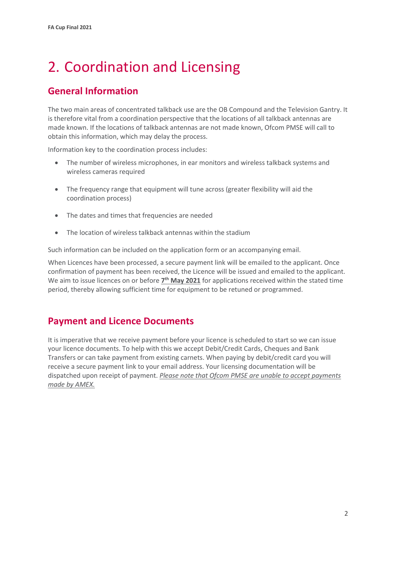# <span id="page-4-0"></span>2. Coordination and Licensing

### **General Information**

The two main areas of concentrated talkback use are the OB Compound and the Television Gantry. It is therefore vital from a coordination perspective that the locations of all talkback antennas are made known. If the locations of talkback antennas are not made known, Ofcom PMSE will call to obtain this information, which may delay the process.

Information key to the coordination process includes:

- The number of wireless microphones, in ear monitors and wireless talkback systems and wireless cameras required
- The frequency range that equipment will tune across (greater flexibility will aid the coordination process)
- The dates and times that frequencies are needed
- The location of wireless talkback antennas within the stadium

Such information can be included on the application form or an accompanying email.

When Licences have been processed, a secure payment link will be emailed to the applicant. Once confirmation of payment has been received, the Licence will be issued and emailed to the applicant. We aim to issue licences on or before  $\mathbf{Z}^{\text{th}}$  **May 2021** for applications received within the stated time period, thereby allowing sufficient time for equipment to be retuned or programmed.

#### **Payment and Licence Documents**

It is imperative that we receive payment before your licence is scheduled to start so we can issue your licence documents. To help with this we accept Debit/Credit Cards, Cheques and Bank Transfers or can take payment from existing carnets. When paying by debit/credit card you will receive a secure payment link to your email address. Your licensing documentation will be dispatched upon receipt of payment. *Please note that Ofcom PMSE are unable to accept payments made by AMEX.*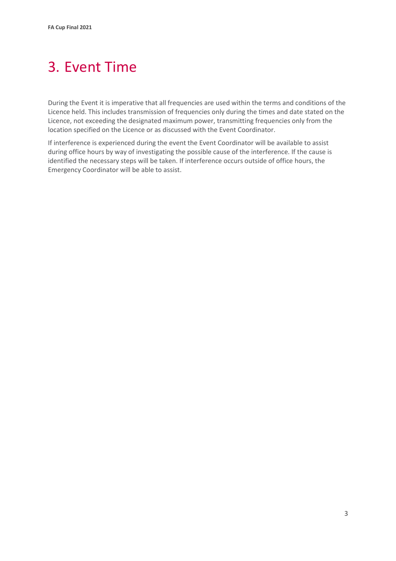# <span id="page-5-0"></span>3. Event Time

During the Event it is imperative that all frequencies are used within the terms and conditions of the Licence held. This includes transmission of frequencies only during the times and date stated on the Licence, not exceeding the designated maximum power, transmitting frequencies only from the location specified on the Licence or as discussed with the Event Coordinator.

If interference is experienced during the event the Event Coordinator will be available to assist during office hours by way of investigating the possible cause of the interference. If the cause is identified the necessary steps will be taken. If interference occurs outside of office hours, the Emergency Coordinator will be able to assist.